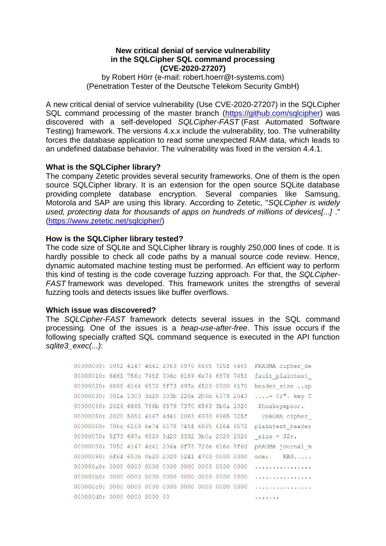### **New critical denial of service vulnerability in the SQLCipher SQL command processing (CVE-2020-27207)**

by Robert Hörr (e-mail: robert.hoerr@t-systems.com) (Penetration Tester of the Deutsche Telekom Security GmbH)

A new critical denial of service vulnerability (Use CVE-2020-27207) in the SQLCipher SQL command processing of the master branch [\(https://github.com/sqlcipher\)](https://github.com/sqlcipher) was discovered with a self-developed *SQLCipher-FAST* (Fast Automated Software Testing) framework. The versions 4.x.x include the vulnerability, too. The vulnerability forces the database application to read some unexpected RAM data, which leads to an undefined database behavior. The vulnerability was fixed in the version 4.4.1.

## **What is the SQLCipher library?**

The company Zetetic provides several security frameworks. One of them is the open source SQLCipher library. It is an extension for the open source SQLite database providing complete database encryption. Several companies like Samsung, Motorola and SAP are using this library. According to Zetetic, "*SQLCipher is widely used, protecting data for thousands of apps on hundreds of millions of devices[...]* ." [\(https://www.zetetic.net/sqlcipher/\)](https://www.zetetic.net/sqlcipher/)

### **How is the SQLCipher library tested?**

The code size of SQLite and SQLCipher library is roughly 250,000 lines of code. It is hardly possible to check all code paths by a manual source code review. Hence, dynamic automated machine testing must be performed. An efficient way to perform this kind of testing is the code coverage fuzzing approach. For that, the *SQLCipher-FAST* framework was developed. This framework unites the strengths of several fuzzing tools and detects issues like buffer overflows.

### **Which issue was discovered?**

The *SQLCipher-FAST* framework detects several issues in the SQL command processing. One of the issues is a *heap-use-after-free*. This issue occurs if the following specially crafted SQL command sequence is executed in the API function *sqlite3\_exec(...)*:

```
00000000: 5052 4147 4d41 2063 6970 6865 725f 6465 PRAGMA cipher de
00000010: 6661 756c 745f 706c 6169 6e74 6578 745f fault plaintext
00000020: 6865 6164 6572 5f73 697a 6520 0000 6170 header size ..ap
00000030: 001a 1300 3d20 303b 220a 206b 6579 2043 ....= 0;". key C
00000040: 2024 6865 786b 6579 7370 6563 3b0a 2020 Shexkeyspec;.
00000050: 2020 5052 4147 4d41 2063 6970 6865 725f PRAGMA cipher
00000060: 706c 6169 6e74 6578 745f 6865 6164 6572 plaintext header
00000070: 5f73 697a 6520 3d20 3332 3b0a 2020 2020 size = 32;.
00000080: 7052 4147 4d41 206a 6f75 726e 616c 5f6d pRAGMA journal m
00000090: 6f64 653b 0a20 2020 5241 4700 0000 0000 ode; RAG.....
. . . . . . . . . . . . . . . . .
. . . . . . . . . . . . . . . .
000000d0: 0000 0000 0000 00
                                           . . . . . . .
```